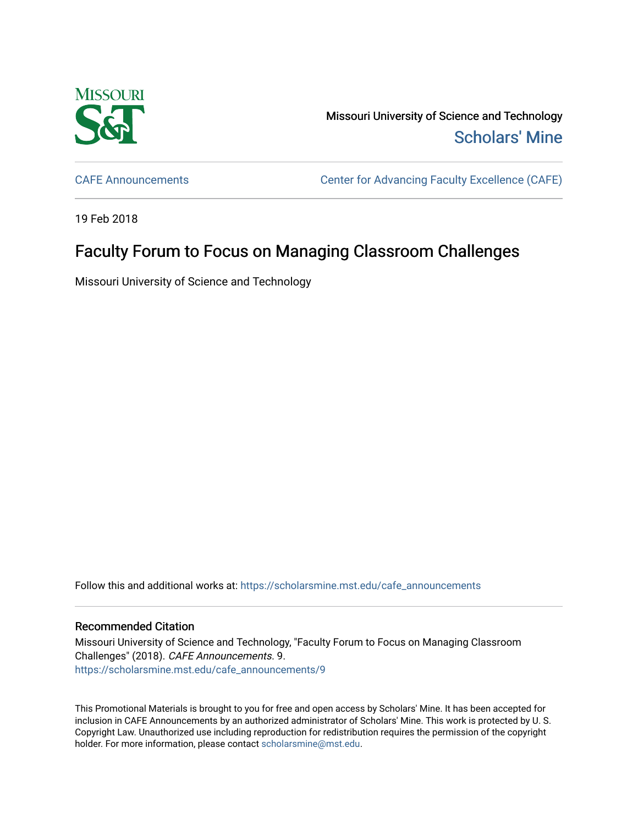

Missouri University of Science and Technology [Scholars' Mine](https://scholarsmine.mst.edu/) 

[CAFE Announcements](https://scholarsmine.mst.edu/cafe_announcements) [Center for Advancing Faculty Excellence \(CAFE\)](https://scholarsmine.mst.edu/cafe) 

19 Feb 2018

## Faculty Forum to Focus on Managing Classroom Challenges

Missouri University of Science and Technology

Follow this and additional works at: [https://scholarsmine.mst.edu/cafe\\_announcements](https://scholarsmine.mst.edu/cafe_announcements?utm_source=scholarsmine.mst.edu%2Fcafe_announcements%2F9&utm_medium=PDF&utm_campaign=PDFCoverPages) 

## Recommended Citation

Missouri University of Science and Technology, "Faculty Forum to Focus on Managing Classroom Challenges" (2018). CAFE Announcements. 9. [https://scholarsmine.mst.edu/cafe\\_announcements/9](https://scholarsmine.mst.edu/cafe_announcements/9?utm_source=scholarsmine.mst.edu%2Fcafe_announcements%2F9&utm_medium=PDF&utm_campaign=PDFCoverPages) 

This Promotional Materials is brought to you for free and open access by Scholars' Mine. It has been accepted for inclusion in CAFE Announcements by an authorized administrator of Scholars' Mine. This work is protected by U. S. Copyright Law. Unauthorized use including reproduction for redistribution requires the permission of the copyright holder. For more information, please contact [scholarsmine@mst.edu.](mailto:scholarsmine@mst.edu)